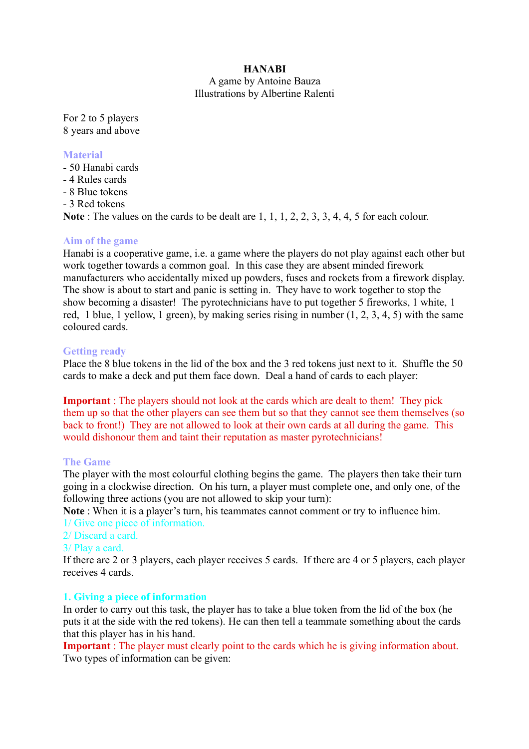### **HANABI**

### A game by Antoine Bauza Illustrations by Albertine Ralenti

For 2 to 5 players 8 years and above

### **Material**

- 50 Hanabi cards
- 4 Rules cards
- 8 Blue tokens
- 3 Red tokens

**Note** : The values on the cards to be dealt are 1, 1, 1, 2, 2, 3, 3, 4, 4, 5 for each colour.

### **Aim of the game**

Hanabi is a cooperative game, i.e. a game where the players do not play against each other but work together towards a common goal. In this case they are absent minded firework manufacturers who accidentally mixed up powders, fuses and rockets from a firework display. The show is about to start and panic is setting in. They have to work together to stop the show becoming a disaster! The pyrotechnicians have to put together 5 fireworks, 1 white, 1 red, 1 blue, 1 yellow, 1 green), by making series rising in number (1, 2, 3, 4, 5) with the same coloured cards.

### **Getting ready**

Place the 8 blue tokens in the lid of the box and the 3 red tokens just next to it. Shuffle the 50 cards to make a deck and put them face down. Deal a hand of cards to each player:

**Important**: The players should not look at the cards which are dealt to them! They pick them up so that the other players can see them but so that they cannot see them themselves (so back to front!) They are not allowed to look at their own cards at all during the game. This would dishonour them and taint their reputation as master pyrotechnicians!

### **The Game**

The player with the most colourful clothing begins the game. The players then take their turn going in a clockwise direction. On his turn, a player must complete one, and only one, of the following three actions (you are not allowed to skip your turn):

**Note** : When it is a player's turn, his teammates cannot comment or try to influence him. 1/ Give one piece of information.

### 2/ Discard a card.

### 3/ Play a card.

If there are 2 or 3 players, each player receives 5 cards. If there are 4 or 5 players, each player receives 4 cards.

### **1. Giving a piece of information**

In order to carry out this task, the player has to take a blue token from the lid of the box (he puts it at the side with the red tokens). He can then tell a teammate something about the cards that this player has in his hand.

**Important** : The player must clearly point to the cards which he is giving information about. Two types of information can be given: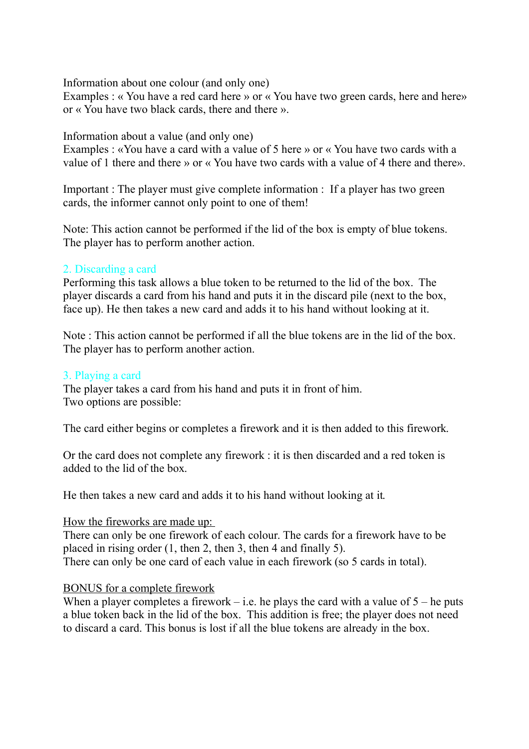Information about one colour (and only one)

Examples : « You have a red card here » or « You have two green cards, here and here» or « You have two black cards, there and there ».

Information about a value (and only one)

Examples : «You have a card with a value of 5 here » or « You have two cards with a value of 1 there and there » or « You have two cards with a value of 4 there and there».

Important : The player must give complete information : If a player has two green cards, the informer cannot only point to one of them!

Note: This action cannot be performed if the lid of the box is empty of blue tokens. The player has to perform another action.

## 2. Discarding a card

Performing this task allows a blue token to be returned to the lid of the box. The player discards a card from his hand and puts it in the discard pile (next to the box, face up). He then takes a new card and adds it to his hand without looking at it.

Note : This action cannot be performed if all the blue tokens are in the lid of the box. The player has to perform another action.

## 3. Playing a card

The player takes a card from his hand and puts it in front of him. Two options are possible:

The card either begins or completes a firework and it is then added to this firework.

Or the card does not complete any firework : it is then discarded and a red token is added to the lid of the box.

He then takes a new card and adds it to his hand without looking at it.

### How the fireworks are made up:

There can only be one firework of each colour. The cards for a firework have to be placed in rising order (1, then 2, then 3, then 4 and finally 5). There can only be one card of each value in each firework (so 5 cards in total).

## BONUS for a complete firework

When a player completes a firework – i.e. he plays the card with a value of  $5$  – he puts a blue token back in the lid of the box. This addition is free; the player does not need to discard a card. This bonus is lost if all the blue tokens are already in the box.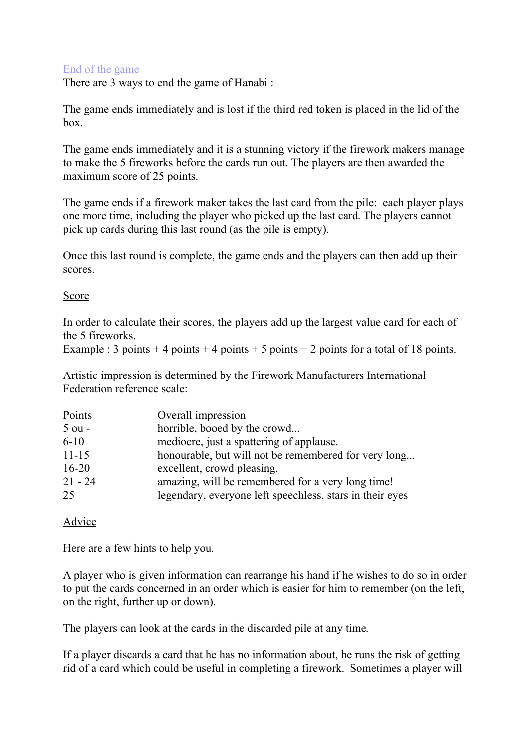## End of the game

There are 3 ways to end the game of Hanabi :

The game ends immediately and is lost if the third red token is placed in the lid of the box.

The game ends immediately and it is a stunning victory if the firework makers manage to make the 5 fireworks before the cards run out. The players are then awarded the maximum score of 25 points.

The game ends if a firework maker takes the last card from the pile: each player plays one more time, including the player who picked up the last card. The players cannot pick up cards during this last round (as the pile is empty).

Once this last round is complete, the game ends and the players can then add up their scores.

## Score

In order to calculate their scores, the players add up the largest value card for each of the 5 fireworks.

```
Example : 3 points + 4 points + 4 points + 5 points + 2 points for a total of 18 points.
```
Artistic impression is determined by the Firework Manufacturers International Federation reference scale:

| Points    | Overall impression                                       |
|-----------|----------------------------------------------------------|
| $5$ ou -  | horrible, booed by the crowd                             |
| $6 - 10$  | mediocre, just a spattering of applause.                 |
| $11 - 15$ | honourable, but will not be remembered for very long     |
| $16 - 20$ | excellent, crowd pleasing.                               |
| $21 - 24$ | amazing, will be remembered for a very long time!        |
| 25        | legendary, everyone left speechless, stars in their eyes |

# Advice

Here are a few hints to help you.

A player who is given information can rearrange his hand if he wishes to do so in order to put the cards concerned in an order which is easier for him to remember (on the left, on the right, further up or down).

The players can look at the cards in the discarded pile at any time.

If a player discards a card that he has no information about, he runs the risk of getting rid of a card which could be useful in completing a firework. Sometimes a player will